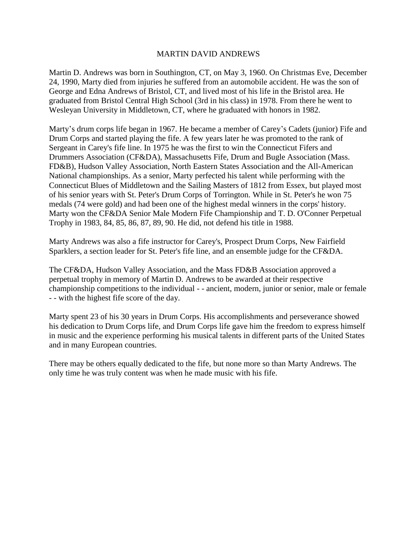### MARTIN DAVID ANDREWS

Martin D. Andrews was born in Southington, CT, on May 3, 1960. On Christmas Eve, December 24, 1990, Marty died from injuries he suffered from an automobile accident. He was the son of George and Edna Andrews of Bristol, CT, and lived most of his life in the Bristol area. He graduated from Bristol Central High School (3rd in his class) in 1978. From there he went to Wesleyan University in Middletown, CT, where he graduated with honors in 1982.

Marty's drum corps life began in 1967. He became a member of Carey's Cadets (junior) Fife and Drum Corps and started playing the fife. A few years later he was promoted to the rank of Sergeant in Carey's fife line. In 1975 he was the first to win the Connecticut Fifers and Drummers Association (CF&DA), Massachusetts Fife, Drum and Bugle Association (Mass. FD&B), Hudson Valley Association, North Eastern States Association and the All-American National championships. As a senior, Marty perfected his talent while performing with the Connecticut Blues of Middletown and the Sailing Masters of 1812 from Essex, but played most of his senior years with St. Peter's Drum Corps of Torrington. While in St. Peter's he won 75 medals (74 were gold) and had been one of the highest medal winners in the corps' history. Marty won the CF&DA Senior Male Modern Fife Championship and T. D. O'Conner Perpetual Trophy in 1983, 84, 85, 86, 87, 89, 90. He did, not defend his title in 1988.

Marty Andrews was also a fife instructor for Carey's, Prospect Drum Corps, New Fairfield Sparklers, a section leader for St. Peter's fife line, and an ensemble judge for the CF&DA.

The CF&DA, Hudson Valley Association, and the Mass FD&B Association approved a perpetual trophy in memory of Martin D. Andrews to be awarded at their respective championship competitions to the individual - - ancient, modern, junior or senior, male or female - - with the highest fife score of the day.

Marty spent 23 of his 30 years in Drum Corps. His accomplishments and perseverance showed his dedication to Drum Corps life, and Drum Corps life gave him the freedom to express himself in music and the experience performing his musical talents in different parts of the United States and in many European countries.

There may be others equally dedicated to the fife, but none more so than Marty Andrews. The only time he was truly content was when he made music with his fife.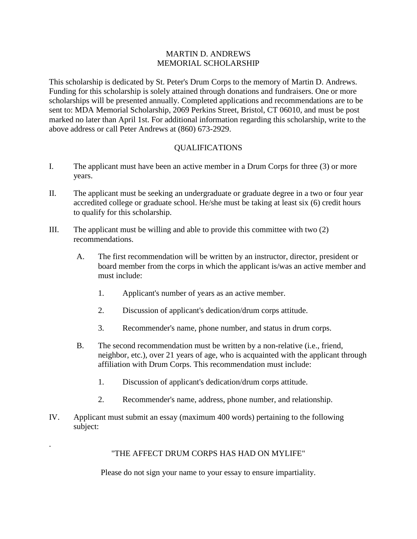## MARTIN D. ANDREWS MEMORIAL SCHOLARSHIP

This scholarship is dedicated by St. Peter's Drum Corps to the memory of Martin D. Andrews. Funding for this scholarship is solely attained through donations and fundraisers. One or more scholarships will be presented annually. Completed applications and recommendations are to be sent to: MDA Memorial Scholarship, 2069 Perkins Street, Bristol, CT 06010, and must be post marked no later than April 1st. For additional information regarding this scholarship, write to the above address or call Peter Andrews at (860) 673-2929.

## QUALIFICATIONS

- I. The applicant must have been an active member in a Drum Corps for three (3) or more years.
- II. The applicant must be seeking an undergraduate or graduate degree in a two or four year accredited college or graduate school. He/she must be taking at least six (6) credit hours to qualify for this scholarship.
- III. The applicant must be willing and able to provide this committee with two  $(2)$ recommendations.
	- A. The first recommendation will be written by an instructor, director, president or board member from the corps in which the applicant is/was an active member and must include:
		- 1. Applicant's number of years as an active member.
		- 2. Discussion of applicant's dedication/drum corps attitude.
		- 3. Recommender's name, phone number, and status in drum corps.
	- B. The second recommendation must be written by a non-relative (i.e., friend, neighbor, etc.), over 21 years of age, who is acquainted with the applicant through affiliation with Drum Corps. This recommendation must include:
		- 1. Discussion of applicant's dedication/drum corps attitude.
		- 2. Recommender's name, address, phone number, and relationship.
- IV. Applicant must submit an essay (maximum 400 words) pertaining to the following subject:

.

# "THE AFFECT DRUM CORPS HAS HAD ON MYLIFE"

Please do not sign your name to your essay to ensure impartiality.